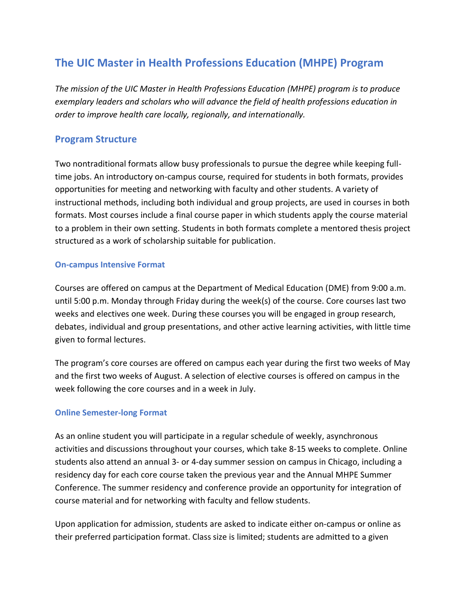# **The UIC Master in Health Professions Education (MHPE) Program**

*The mission of the UIC Master in Health Professions Education (MHPE) program is to produce exemplary leaders and scholars who will advance the field of health professions education in order to improve health care locally, regionally, and internationally.*

## **Program Structure**

Two nontraditional formats allow busy professionals to pursue the degree while keeping fulltime jobs. An introductory on-campus course, required for students in both formats, provides opportunities for meeting and networking with faculty and other students. A variety of instructional methods, including both individual and group projects, are used in courses in both formats. Most courses include a final course paper in which students apply the course material to a problem in their own setting. Students in both formats complete a mentored thesis project structured as a work of scholarship suitable for publication.

## **On-campus Intensive Format**

Courses are offered on campus at the Department of Medical Education (DME) from 9:00 a.m. until 5:00 p.m. Monday through Friday during the week(s) of the course. Core courses last two weeks and electives one week. During these courses you will be engaged in group research, debates, individual and group presentations, and other active learning activities, with little time given to formal lectures.

The program's core courses are offered on campus each year during the first two weeks of May and the first two weeks of August. A selection of elective courses is offered on campus in the week following the core courses and in a week in July.

## **Online Semester-long Format**

As an online student you will participate in a regular schedule of weekly, asynchronous activities and discussions throughout your courses, which take 8-15 weeks to complete. Online students also attend an annual 3- or 4-day summer session on campus in Chicago, including a residency day for each core course taken the previous year and the Annual MHPE Summer Conference. The summer residency and conference provide an opportunity for integration of course material and for networking with faculty and fellow students.

Upon application for admission, students are asked to indicate either on-campus or online as their preferred participation format. Class size is limited; students are admitted to a given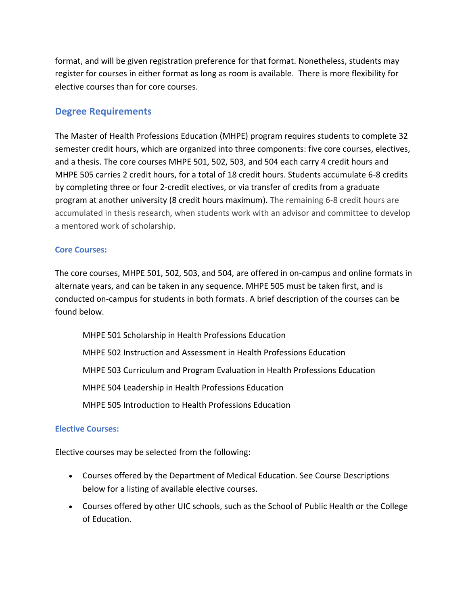format, and will be given registration preference for that format. Nonetheless, students may register for courses in either format as long as room is available. There is more flexibility for elective courses than for core courses.

## **Degree Requirements**

The Master of Health Professions Education (MHPE) program requires students to complete 32 semester credit hours, which are organized into three components: five core courses, electives, and a thesis. The core courses MHPE 501, 502, 503, and 504 each carry 4 credit hours and MHPE 505 carries 2 credit hours, for a total of 18 credit hours. Students accumulate 6-8 credits by completing three or four 2-credit electives, or via transfer of credits from a graduate program at another university (8 credit hours maximum). The remaining 6-8 credit hours are accumulated in thesis research, when students work with an advisor and committee to develop a mentored work of scholarship.

#### **Core Courses:**

The core courses, MHPE 501, 502, 503, and 504, are offered in on-campus and online formats in alternate years, and can be taken in any sequence. MHPE 505 must be taken first, and is conducted on-campus for students in both formats. A brief description of the courses can be found below.

MHPE 501 Scholarship in Health Professions Education MHPE 502 Instruction and Assessment in Health Professions Education MHPE 503 Curriculum and Program Evaluation in Health Professions Education MHPE 504 Leadership in Health Professions Education MHPE 505 Introduction to Health Professions Education

#### **Elective Courses:**

Elective courses may be selected from the following:

- Courses offered by the Department of Medical Education. See Course Descriptions below for a listing of available elective courses.
- Courses offered by other UIC schools, such as the School of Public Health or the College of Education.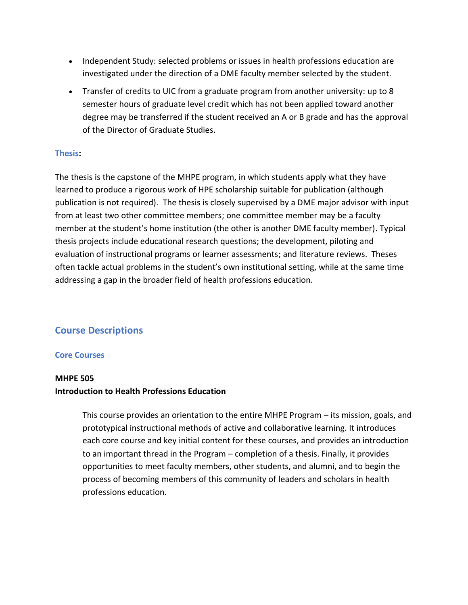- Independent Study: selected problems or issues in health professions education are investigated under the direction of a DME faculty member selected by the student.
- Transfer of credits to UIC from a graduate program from another university: up to 8 semester hours of graduate level credit which has not been applied toward another degree may be transferred if the student received an A or B grade and has the approval of the Director of Graduate Studies.

## **Thesis:**

The thesis is the capstone of the MHPE program, in which students apply what they have learned to produce a rigorous work of HPE scholarship suitable for publication (although publication is not required). The thesis is closely supervised by a DME major advisor with input from at least two other committee members; one committee member may be a faculty member at the student's home institution (the other is another DME faculty member). Typical thesis projects include educational research questions; the development, piloting and evaluation of instructional programs or learner assessments; and literature reviews. Theses often tackle actual problems in the student's own institutional setting, while at the same time addressing a gap in the broader field of health professions education.

## **Course Descriptions**

#### **Core Courses**

#### **MHPE 505**

## **Introduction to Health Professions Education**

This course provides an orientation to the entire MHPE Program – its mission, goals, and prototypical instructional methods of active and collaborative learning. It introduces each core course and key initial content for these courses, and provides an introduction to an important thread in the Program – completion of a thesis. Finally, it provides opportunities to meet faculty members, other students, and alumni, and to begin the process of becoming members of this community of leaders and scholars in health professions education.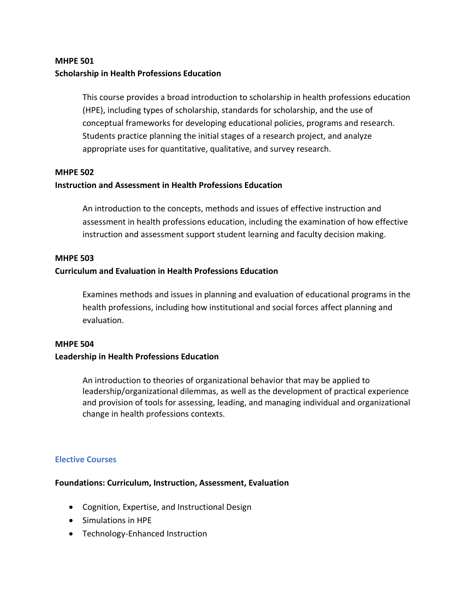## **MHPE 501 Scholarship in Health Professions Education**

This course provides a broad introduction to scholarship in health professions education (HPE), including types of scholarship, standards for scholarship, and the use of conceptual frameworks for developing educational policies, programs and research. Students practice planning the initial stages of a research project, and analyze appropriate uses for quantitative, qualitative, and survey research.

#### **MHPE 502**

#### **Instruction and Assessment in Health Professions Education**

An introduction to the concepts, methods and issues of effective instruction and assessment in health professions education, including the examination of how effective instruction and assessment support student learning and faculty decision making.

#### **MHPE 503**

#### **Curriculum and Evaluation in Health Professions Education**

Examines methods and issues in planning and evaluation of educational programs in the health professions, including how institutional and social forces affect planning and evaluation.

## **MHPE 504**

#### **Leadership in Health Professions Education**

An introduction to theories of organizational behavior that may be applied to leadership/organizational dilemmas, as well as the development of practical experience and provision of tools for assessing, leading, and managing individual and organizational change in health professions contexts.

#### **Elective Courses**

#### **Foundations: Curriculum, Instruction, Assessment, Evaluation**

- Cognition, Expertise, and Instructional Design
- Simulations in HPE
- Technology-Enhanced Instruction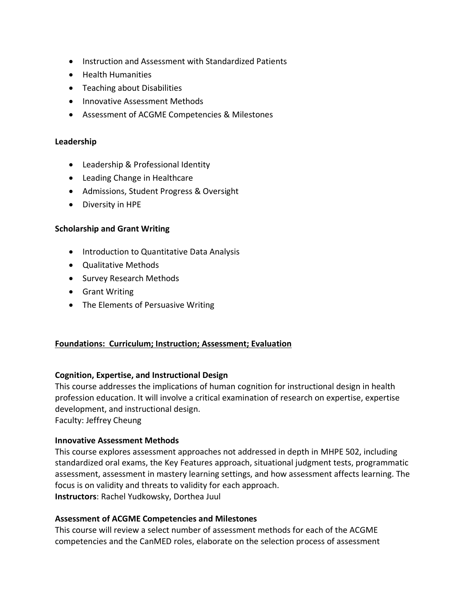- Instruction and Assessment with Standardized Patients
- Health Humanities
- Teaching about Disabilities
- Innovative Assessment Methods
- Assessment of ACGME Competencies & Milestones

#### **Leadership**

- Leadership & Professional Identity
- Leading Change in Healthcare
- Admissions, Student Progress & Oversight
- Diversity in HPE

#### **Scholarship and Grant Writing**

- Introduction to Quantitative Data Analysis
- Qualitative Methods
- Survey Research Methods
- Grant Writing
- The Elements of Persuasive Writing

#### **Foundations: Curriculum; Instruction; Assessment; Evaluation**

#### **Cognition, Expertise, and Instructional Design**

This course addresses the implications of human cognition for instructional design in health profession education. It will involve a critical examination of research on expertise, expertise development, and instructional design.

Faculty: Jeffrey Cheung

#### **Innovative Assessment Methods**

This course explores assessment approaches not addressed in depth in MHPE 502, including standardized oral exams, the Key Features approach, situational judgment tests, programmatic assessment, assessment in mastery learning settings, and how assessment affects learning. The focus is on validity and threats to validity for each approach. **Instructors**: Rachel Yudkowsky, Dorthea Juul

#### **Assessment of ACGME Competencies and Milestones**

This course will review a select number of assessment methods for each of the ACGME competencies and the CanMED roles, elaborate on the selection process of assessment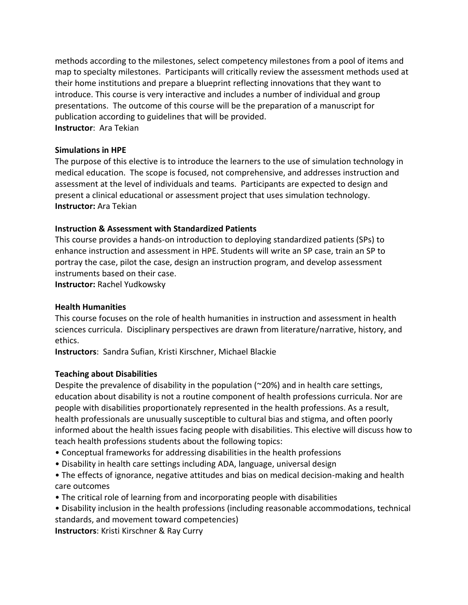methods according to the milestones, select competency milestones from a pool of items and map to specialty milestones. Participants will critically review the assessment methods used at their home institutions and prepare a blueprint reflecting innovations that they want to introduce. This course is very interactive and includes a number of individual and group presentations. The outcome of this course will be the preparation of a manuscript for publication according to guidelines that will be provided. **Instructor**: Ara Tekian

#### **Simulations in HPE**

The purpose of this elective is to introduce the learners to the use of simulation technology in medical education. The scope is focused, not comprehensive, and addresses instruction and assessment at the level of individuals and teams. Participants are expected to design and present a clinical educational or assessment project that uses simulation technology. **Instructor:** Ara Tekian

#### **Instruction & Assessment with Standardized Patients**

This course provides a hands-on introduction to deploying standardized patients (SPs) to enhance instruction and assessment in HPE. Students will write an SP case, train an SP to portray the case, pilot the case, design an instruction program, and develop assessment instruments based on their case.

**Instructor:** Rachel Yudkowsky

#### **Health Humanities**

This course focuses on the role of health humanities in instruction and assessment in health sciences curricula. Disciplinary perspectives are drawn from literature/narrative, history, and ethics.

**Instructors**: Sandra Sufian, Kristi Kirschner, Michael Blackie

#### **Teaching about Disabilities**

Despite the prevalence of disability in the population (~20%) and in health care settings, education about disability is not a routine component of health professions curricula. Nor are people with disabilities proportionately represented in the health professions. As a result, health professionals are unusually susceptible to cultural bias and stigma, and often poorly informed about the health issues facing people with disabilities. This elective will discuss how to teach health professions students about the following topics:

- Conceptual frameworks for addressing disabilities in the health professions
- Disability in health care settings including ADA, language, universal design
- The effects of ignorance, negative attitudes and bias on medical decision-making and health care outcomes
- The critical role of learning from and incorporating people with disabilities
- Disability inclusion in the health professions (including reasonable accommodations, technical standards, and movement toward competencies)

**Instructors**: Kristi Kirschner & Ray Curry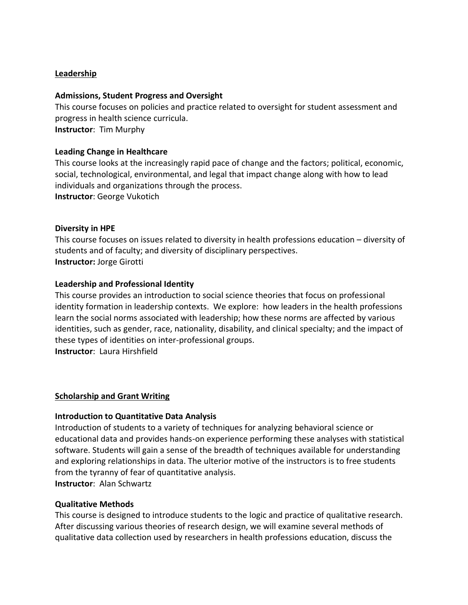#### **Leadership**

#### **Admissions, Student Progress and Oversight**

This course focuses on policies and practice related to oversight for student assessment and progress in health science curricula. **Instructor**: Tim Murphy

#### **Leading Change in Healthcare**

This course looks at the increasingly rapid pace of change and the factors; political, economic, social, technological, environmental, and legal that impact change along with how to lead individuals and organizations through the process. **Instructor**: George Vukotich

#### **Diversity in HPE**

This course focuses on issues related to diversity in health professions education – diversity of students and of faculty; and diversity of disciplinary perspectives. **Instructor:** Jorge Girotti

#### **Leadership and Professional Identity**

This course provides an introduction to social science theories that focus on professional identity formation in leadership contexts. We explore: how leaders in the health professions learn the social norms associated with leadership; how these norms are affected by various identities, such as gender, race, nationality, disability, and clinical specialty; and the impact of these types of identities on inter-professional groups. **Instructor**: Laura Hirshfield

#### **Scholarship and Grant Writing**

#### **Introduction to Quantitative Data Analysis**

Introduction of students to a variety of techniques for analyzing behavioral science or educational data and provides hands-on experience performing these analyses with statistical software. Students will gain a sense of the breadth of techniques available for understanding and exploring relationships in data. The ulterior motive of the instructors is to free students from the tyranny of fear of quantitative analysis. **Instructor**: Alan Schwartz

#### **Qualitative Methods**

This course is designed to introduce students to the logic and practice of qualitative research. After discussing various theories of research design, we will examine several methods of qualitative data collection used by researchers in health professions education, discuss the